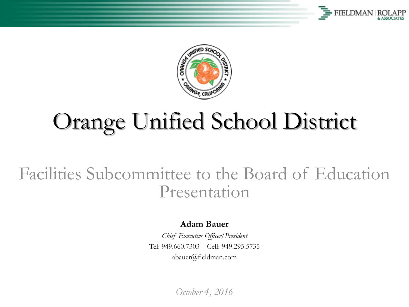



# Orange Unified School District

#### Facilities Subcommittee to the Board of Education Presentation

**Adam Bauer**

*Chief Executive Officer/President* Tel: 949.660.7303 Cell: 949.295.5735 abauer@fieldman.com

*October 4, 2016*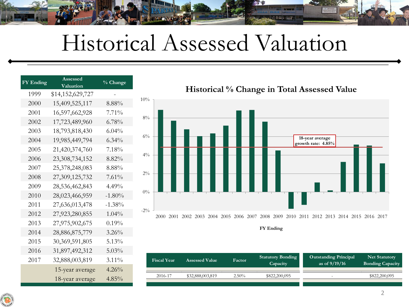## Historical Assessed Valuation

<u>Thin I</u>

| <b>FY Ending</b> | Assessed<br>Valuation | % Change  |  |  |  |  |
|------------------|-----------------------|-----------|--|--|--|--|
| 1999             | \$14,152,629,727      |           |  |  |  |  |
| 2000             | 15,409,525,117        | $8.88\%$  |  |  |  |  |
| 2001             | 16,597,662,928        | $7.71\%$  |  |  |  |  |
| 2002             | 17,723,489,960        | $6.78\%$  |  |  |  |  |
| 2003             | 18,793,818,430        | $6.04\%$  |  |  |  |  |
| 2004             | 19,985,449,794        | $6.34\%$  |  |  |  |  |
| 2005             | 21,420,374,760        | 7.18%     |  |  |  |  |
| 2006             | 23,308,734,152        | 8.82%     |  |  |  |  |
| 2007             | 25,378,248,083        | 8.88%     |  |  |  |  |
| 2008             | 27,309,125,732        | 7.61%     |  |  |  |  |
| 2009             | 28,536,462,843        | $4.49\%$  |  |  |  |  |
| 2010             | 28,023,466,959        | $-1.80\%$ |  |  |  |  |
| 2011             | 27,636,013,478        | $-1.38\%$ |  |  |  |  |
| 2012             | 27,923,280,855        | $1.04\%$  |  |  |  |  |
| 2013             | 27,975,902,675        | 0.19%     |  |  |  |  |
| 2014             | 28,886,875,779        | $3.26\%$  |  |  |  |  |
| 2015             | 30,369,591,805        | $5.13\%$  |  |  |  |  |
| 2016             | 31,897,492,312        | $5.03\%$  |  |  |  |  |
| 2017             | 32,888,003,819        | $3.11\%$  |  |  |  |  |
|                  | 15-year average       | $4.26\%$  |  |  |  |  |
|                  | 18-year average       | $4.85\%$  |  |  |  |  |



| <b>Fiscal Year</b> | <b>Assessed Value</b> |          | <b>Statutory Bonding</b><br>Capacity | <b>Outstanding Principal</b><br>as of $9/19/16$ | <b>Net Statutory</b><br><b>Bonding Capacity</b> |  |
|--------------------|-----------------------|----------|--------------------------------------|-------------------------------------------------|-------------------------------------------------|--|
| 2016-17            | \$32,888,003,819      | $2.50\%$ | \$822,200,095                        | <b>100</b>                                      | \$822,200,095                                   |  |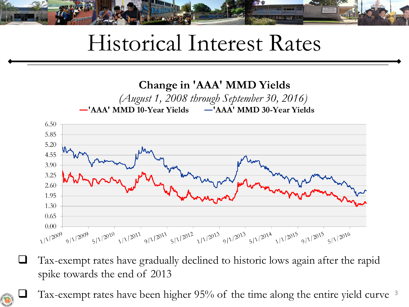

### Historical Interest Rates



 $\Box$  Tax-exempt rates have gradually declined to historic lows again after the rapid spike towards the end of 2013

Tax-exempt rates have been higher 95% of the time along the entire yield curve <sup>3</sup>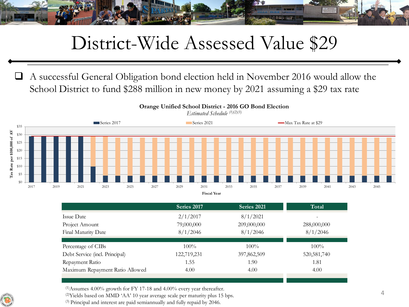

#### District-Wide Assessed Value \$29

 A successful General Obligation bond election held in November 2016 would allow the School District to fund \$288 million in new money by 2021 assuming a \$29 tax rate



| 2017 | 2019 | 2021                                                                                                        | 2023 | 2025                            | 2027        | 2029                   | 2031 | 2033        | 2035                    | 2037 | 2039          | 2041                                    |  |  |
|------|------|-------------------------------------------------------------------------------------------------------------|------|---------------------------------|-------------|------------------------|------|-------------|-------------------------|------|---------------|-----------------------------------------|--|--|
|      |      |                                                                                                             |      | <b>Fiscal Year</b>              |             |                        |      |             |                         |      |               |                                         |  |  |
|      |      |                                                                                                             |      |                                 | Series 2017 |                        |      | Series 2021 |                         |      | Total         |                                         |  |  |
|      |      | Issue Date<br>Project Amount<br>Final Maturity Date<br>Percentage of CIBs<br>Debt Service (incl. Principal) |      |                                 |             | 2/1/2017<br>79,000,000 |      |             | 8/1/2021<br>209,000,000 |      |               | $\overline{\phantom{a}}$<br>288,000,000 |  |  |
|      |      |                                                                                                             |      |                                 |             |                        |      |             |                         |      |               |                                         |  |  |
|      |      |                                                                                                             |      |                                 |             | 8/1/2046               |      |             | 8/1/2046                |      | 8/1/2046      |                                         |  |  |
|      |      |                                                                                                             |      |                                 |             | $100\%$                |      |             | $100\%$                 |      |               | $100\%$                                 |  |  |
|      |      |                                                                                                             |      |                                 |             | 122,719,231            |      |             | 397,862,509             |      | 520, 581, 740 |                                         |  |  |
|      |      | Repayment Ratio                                                                                             |      |                                 |             | 1.55                   |      |             | 1.90                    |      | 1.81          |                                         |  |  |
|      |      |                                                                                                             |      | Maximum Repayment Ratio Allowed |             | 4.00                   |      |             | 4.00                    |      |               | 4.00                                    |  |  |

 $(1)$ Assumes 4.00% growth for FY 17-18 and 4.00% every year thereafter.

(2)Yields based on MMD 'AA' 10 year average scale per maturity plus 15 bps.

(3) Principal and interest are paid semiannually and fully repaid by 2046.